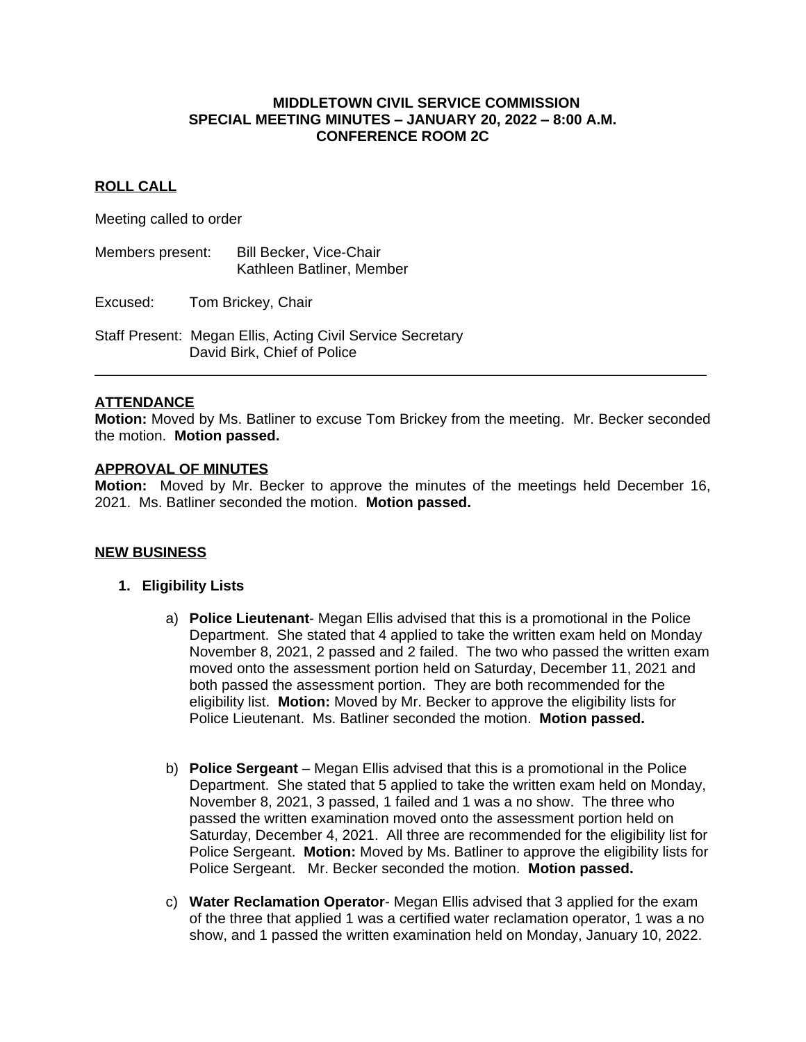#### **MIDDLETOWN CIVIL SERVICE COMMISSION SPECIAL MEETING MINUTES – JANUARY 20, 2022 – 8:00 A.M. CONFERENCE ROOM 2C**

## **ROLL CALL**

Meeting called to order

Members present: Bill Becker, Vice-Chair Kathleen Batliner, Member

Excused: Tom Brickey, Chair

Staff Present: Megan Ellis, Acting Civil Service Secretary David Birk, Chief of Police

## **ATTENDANCE**

**Motion:** Moved by Ms. Batliner to excuse Tom Brickey from the meeting. Mr. Becker seconded the motion. **Motion passed.**

**\_\_\_\_\_\_\_\_\_\_\_\_\_\_\_\_\_\_\_\_\_\_\_\_\_\_\_\_\_\_\_\_\_\_\_\_\_\_\_\_\_\_\_\_\_\_\_\_\_\_\_\_\_\_\_\_\_\_\_\_\_\_\_\_\_\_\_\_\_\_\_\_\_\_\_\_**

#### **APPROVAL OF MINUTES**

**Motion:** Moved by Mr. Becker to approve the minutes of the meetings held December 16, 2021. Ms. Batliner seconded the motion. **Motion passed.**

#### **NEW BUSINESS**

## **1. Eligibility Lists**

- a) **Police Lieutenant** Megan Ellis advised that this is a promotional in the Police Department. She stated that 4 applied to take the written exam held on Monday November 8, 2021, 2 passed and 2 failed. The two who passed the written exam moved onto the assessment portion held on Saturday, December 11, 2021 and both passed the assessment portion. They are both recommended for the eligibility list. **Motion:** Moved by Mr. Becker to approve the eligibility lists for Police Lieutenant. Ms. Batliner seconded the motion. **Motion passed.**
- b) **Police Sergeant** Megan Ellis advised that this is a promotional in the Police Department. She stated that 5 applied to take the written exam held on Monday, November 8, 2021, 3 passed, 1 failed and 1 was a no show. The three who passed the written examination moved onto the assessment portion held on Saturday, December 4, 2021. All three are recommended for the eligibility list for Police Sergeant. **Motion:** Moved by Ms. Batliner to approve the eligibility lists for Police Sergeant. Mr. Becker seconded the motion. **Motion passed.**
- c) **Water Reclamation Operator** Megan Ellis advised that 3 applied for the exam of the three that applied 1 was a certified water reclamation operator, 1 was a no show, and 1 passed the written examination held on Monday, January 10, 2022.